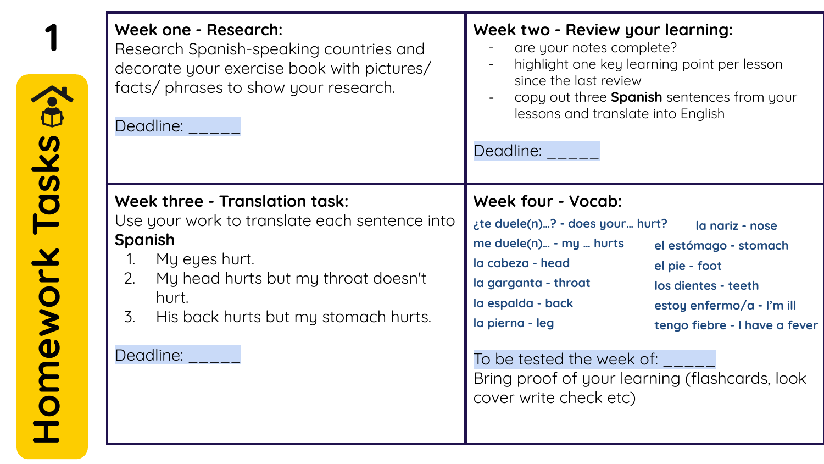| Week one - Research:<br>Research Spanish-speaking countries and<br>decorate your exercise book with pictures/<br>facts/ phrases to show your research.<br>Deadline:                                                                       | Week two - Review your learning:<br>are your notes complete?<br>highlight one key learning point per lesson<br>since the last review<br>copy out three Spanish sentences from your<br>lessons and translate into English<br>Deadline:                                                                                                                                                                                           |
|-------------------------------------------------------------------------------------------------------------------------------------------------------------------------------------------------------------------------------------------|---------------------------------------------------------------------------------------------------------------------------------------------------------------------------------------------------------------------------------------------------------------------------------------------------------------------------------------------------------------------------------------------------------------------------------|
| Week three - Translation task:<br>Use your work to translate each sentence into<br><b>Spanish</b><br>My eyes hurt.<br>1.<br>My head hurts but my throat doesn't<br>2.<br>hurt.<br>His back hurts but my stomach hurts.<br>3.<br>Deadline: | Week four - Vocab:<br>¿te duele(n)? - does your hurt?<br>la nariz - nose<br>me duele(n) - my  hurts<br>el estómago - stomach<br>la cabeza - head<br>el pie - foot<br>la garganta - throat<br>los dientes - teeth<br>la espalda - back<br>estoy enfermo/a - I'm ill<br>la pierna - leg<br>tengo fiebre - I have a fever<br>To be tested the week of:<br>Bring proof of your learning (flashcards, look<br>cover write check etc) |

Homework Tasks a>>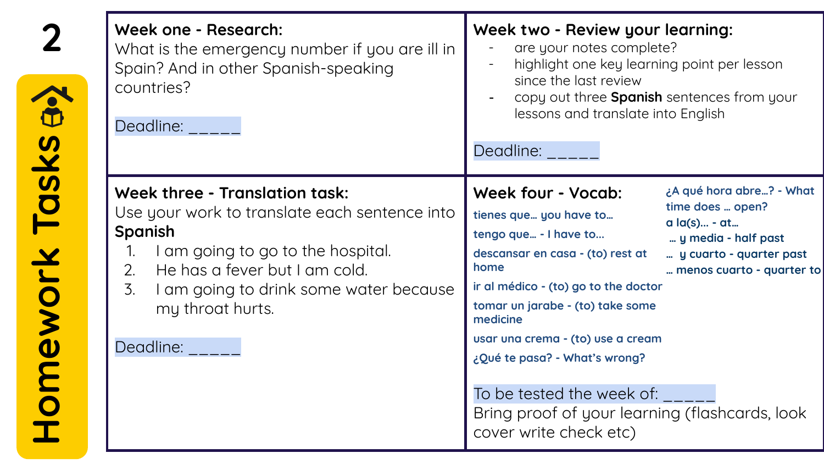| Week one - Research:<br>What is the emergency number if you are ill in<br>Spain? And in other Spanish-speaking<br>countries?<br>Deadline:                                                                                                                                   | Week two - Review your learning:<br>are your notes complete?<br>highlight one key learning point per lesson<br>since the last review<br>copy out three Spanish sentences from your<br>lessons and translate into English<br>Deadline:                                                                                                                                                                                                                                                                                                    |
|-----------------------------------------------------------------------------------------------------------------------------------------------------------------------------------------------------------------------------------------------------------------------------|------------------------------------------------------------------------------------------------------------------------------------------------------------------------------------------------------------------------------------------------------------------------------------------------------------------------------------------------------------------------------------------------------------------------------------------------------------------------------------------------------------------------------------------|
| <b>Week three - Translation task:</b><br>Use your work to translate each sentence into<br><b>Spanish</b><br>I am going to go to the hospital.<br>1.<br>He has a fever but I am cold.<br>2.<br>3.<br>I am going to drink some water because<br>my throat hurts.<br>Deadline: | ¿A qué hora abre? - What<br>Week four - Vocab:<br>time does  open?<br>tienes que you have to<br>a la(s)  - at<br>tengo que - I have to<br>y media - half past<br>descansar en casa - (to) rest at<br>y cuarto - quarter past<br>home<br>menos cuarto - quarter to<br>ir al médico - (to) go to the doctor<br>tomar un jarabe - (to) take some<br>medicine<br>usar una crema - (to) use a cream<br>¿Qué te pasa? - What's wrong?<br>To be tested the week of:<br>Bring proof of your learning (flashcards, look<br>cover write check etc) |

Homework Tasks a>>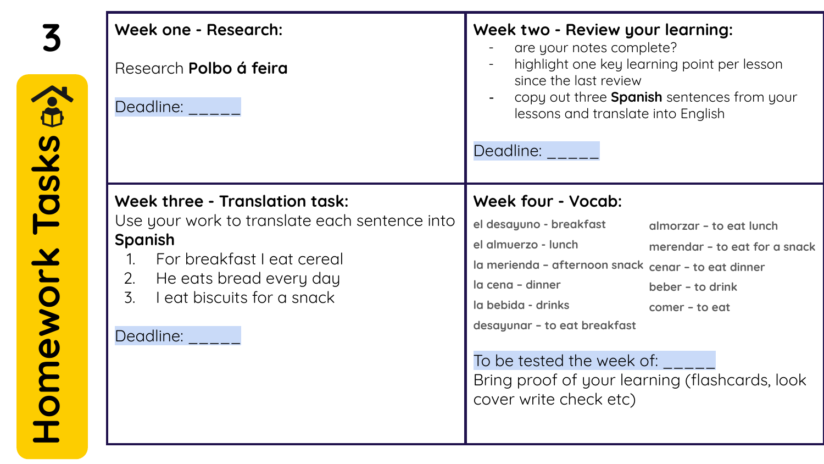| Week one - Research:<br>Research Polbo á feira<br>Deadline:                                                                                                                                                                             | Week two - Review your learning:<br>are your notes complete?<br>highlight one key learning point per lesson<br>since the last review<br>copy out three Spanish sentences from your<br>lessons and translate into English<br>Deadline:                                                                                                                                                                            |
|-----------------------------------------------------------------------------------------------------------------------------------------------------------------------------------------------------------------------------------------|------------------------------------------------------------------------------------------------------------------------------------------------------------------------------------------------------------------------------------------------------------------------------------------------------------------------------------------------------------------------------------------------------------------|
| Week three - Translation task:<br>Use your work to translate each sentence into<br>Spanish<br>For breakfast I eat cereal<br>$\mathbf{1}$<br>He eats bread every day<br>2.<br>$\overline{3}$ .<br>Leat biscuits for a snack<br>Deadline: | Week four - Vocab:<br>el desayuno - breakfast<br>almorzar - to eat lunch<br>el almuerzo - lunch<br>merendar - to eat for a snack<br>la merienda - afternoon snack cenar - to eat dinner<br>la cena - dinner<br>beber - to drink<br>la bebida - drinks<br>comer - to eat<br>desayunar - to eat breakfast<br>To be tested the week of:<br>Bring proof of your learning (flashcards, look<br>cover write check etc) |